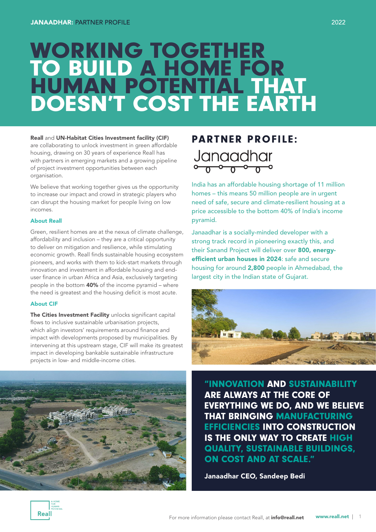# WORKING TOGETHER TO BUILD A HOME FOR HUMAN POTENTIAL THAT DOESN'T COST THE EARTH

### Reall and UN-Habitat Cities Investment facility (CIF)

are collaborating to unlock investment in green affordable housing, drawing on 30 years of experience Reall has with partners in emerging markets and a growing pipeline of project investment opportunities between each organisation.

We believe that working together gives us the opportunity to increase our impact and crowd in strategic players who can disrupt the housing market for people living on low incomes.

#### About Reall

Green, resilient homes are at the nexus of climate challenge, affordability and inclusion – they are a critical opportunity to deliver on mitigation and resilience, while stimulating economic growth. Reall finds sustainable housing ecosystem pioneers, and works with them to kick-start markets through innovation and investment in affordable housing and enduser finance in urban Africa and Asia, exclusively targeting people in the bottom 40% of the income pyramid – where the need is greatest and the housing deficit is most acute.

#### About CIF

The Cities Investment Facility unlocks significant capital flows to inclusive sustainable urbanisation projects, which align investors' requirements around finance and impact with developments proposed by municipalities. By intervening at this upstream stage, CIF will make its greatest impact in developing bankable sustainable infrastructure projects in low- and middle-income cities.



# PARTNER PROFILE: Janaadhar

India has an affordable housing shortage of 11 million homes – this means 50 million people are in urgent need of safe, secure and climate-resilient housing at a price accessible to the bottom 40% of India's income pyramid.

Janaadhar is a socially-minded developer with a strong track record in pioneering exactly this, and their Sanand Project will deliver over 800, energyefficient urban houses in 2024: safe and secure housing for around 2,800 people in Ahmedabad, the largest city in the Indian state of Gujarat.



"INNOVATION AND SUSTAINABILITY ARE ALWAYS AT THE CORE OF EVERYTHING WE DO, AND WE BELIEVE THAT BRINGING MANUFACTURING EFFICIENCIES INTO CONSTRUCTION IS THE ONLY WAY TO CREATE HIGH QUALITY, SUSTAINABLE BUILDINGS, ON COST AND AT SCALE."

Janaadhar CEO, Sandeep Bedi